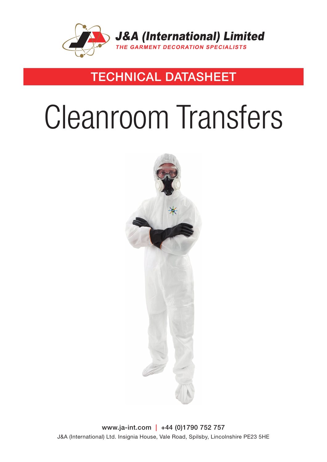

### TECHNICAL DATASHEET

# Cleanroom Transfers



www.ja-int.com | +44 (0)1790 752 757 J&A (International) Ltd. Insignia House, Vale Road, Spilsby, Lincolnshire PE23 5HE